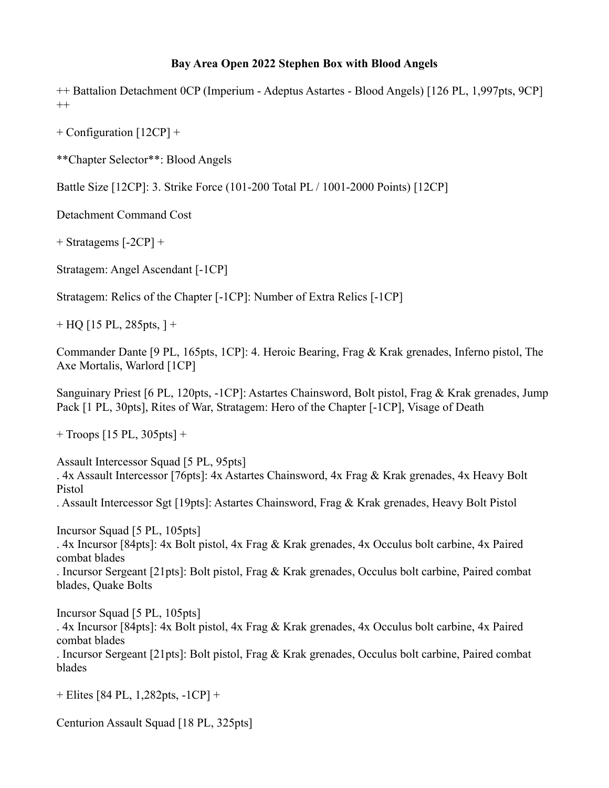## **Bay Area Open 2022 Stephen Box with Blood Angels**

++ Battalion Detachment 0CP (Imperium - Adeptus Astartes - Blood Angels) [126 PL, 1,997pts, 9CP]  $^{++}$ 

+ Configuration [12CP] +

\*\*Chapter Selector\*\*: Blood Angels

Battle Size [12CP]: 3. Strike Force (101-200 Total PL / 1001-2000 Points) [12CP]

Detachment Command Cost

+ Stratagems [-2CP] +

Stratagem: Angel Ascendant [-1CP]

Stratagem: Relics of the Chapter [-1CP]: Number of Extra Relics [-1CP]

 $+$  HQ [15 PL, 285pts, ] +

Commander Dante [9 PL, 165pts, 1CP]: 4. Heroic Bearing, Frag & Krak grenades, Inferno pistol, The Axe Mortalis, Warlord [1CP]

Sanguinary Priest [6 PL, 120pts, -1CP]: Astartes Chainsword, Bolt pistol, Frag & Krak grenades, Jump Pack [1 PL, 30pts], Rites of War, Stratagem: Hero of the Chapter [-1CP], Visage of Death

 $+$  Troops [15 PL, 305pts]  $+$ 

Assault Intercessor Squad [5 PL, 95pts] . 4x Assault Intercessor [76pts]: 4x Astartes Chainsword, 4x Frag & Krak grenades, 4x Heavy Bolt Pistol . Assault Intercessor Sgt [19pts]: Astartes Chainsword, Frag & Krak grenades, Heavy Bolt Pistol

Incursor Squad [5 PL, 105pts] . 4x Incursor [84pts]: 4x Bolt pistol, 4x Frag & Krak grenades, 4x Occulus bolt carbine, 4x Paired combat blades

. Incursor Sergeant [21pts]: Bolt pistol, Frag & Krak grenades, Occulus bolt carbine, Paired combat blades, Quake Bolts

Incursor Squad [5 PL, 105pts] . 4x Incursor [84pts]: 4x Bolt pistol, 4x Frag & Krak grenades, 4x Occulus bolt carbine, 4x Paired combat blades

. Incursor Sergeant [21pts]: Bolt pistol, Frag & Krak grenades, Occulus bolt carbine, Paired combat blades

+ Elites [84 PL, 1,282pts, -1CP] +

Centurion Assault Squad [18 PL, 325pts]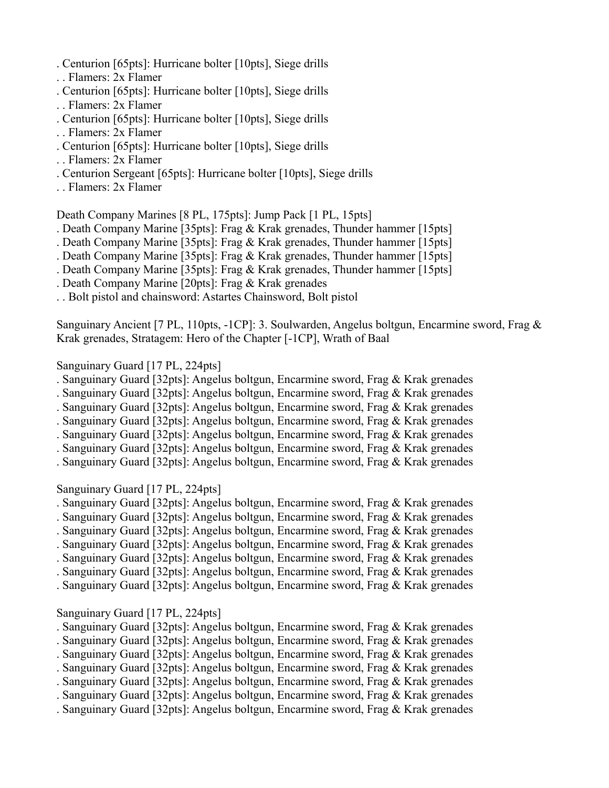- . Centurion [65pts]: Hurricane bolter [10pts], Siege drills
- . . Flamers: 2x Flamer
- . Centurion [65pts]: Hurricane bolter [10pts], Siege drills
- . . Flamers: 2x Flamer
- . Centurion [65pts]: Hurricane bolter [10pts], Siege drills
- . . Flamers: 2x Flamer
- . Centurion [65pts]: Hurricane bolter [10pts], Siege drills
- . . Flamers: 2x Flamer
- . Centurion Sergeant [65pts]: Hurricane bolter [10pts], Siege drills
- . . Flamers: 2x Flamer

Death Company Marines [8 PL, 175pts]: Jump Pack [1 PL, 15pts]

- . Death Company Marine [35pts]: Frag & Krak grenades, Thunder hammer [15pts]
- . Death Company Marine [35pts]: Frag & Krak grenades, Thunder hammer [15pts]
- . Death Company Marine [35pts]: Frag & Krak grenades, Thunder hammer [15pts]
- . Death Company Marine [35pts]: Frag & Krak grenades, Thunder hammer [15pts]
- . Death Company Marine [20pts]: Frag & Krak grenades
- . . Bolt pistol and chainsword: Astartes Chainsword, Bolt pistol

Sanguinary Ancient [7 PL, 110pts, -1CP]: 3. Soulwarden, Angelus boltgun, Encarmine sword, Frag & Krak grenades, Stratagem: Hero of the Chapter [-1CP], Wrath of Baal

## Sanguinary Guard [17 PL, 224pts]

- . Sanguinary Guard [32pts]: Angelus boltgun, Encarmine sword, Frag & Krak grenades
- . Sanguinary Guard [32pts]: Angelus boltgun, Encarmine sword, Frag & Krak grenades
- . Sanguinary Guard [32pts]: Angelus boltgun, Encarmine sword, Frag & Krak grenades
- . Sanguinary Guard [32pts]: Angelus boltgun, Encarmine sword, Frag & Krak grenades
- . Sanguinary Guard [32pts]: Angelus boltgun, Encarmine sword, Frag & Krak grenades
- . Sanguinary Guard [32pts]: Angelus boltgun, Encarmine sword, Frag & Krak grenades

. Sanguinary Guard [32pts]: Angelus boltgun, Encarmine sword, Frag & Krak grenades

## Sanguinary Guard [17 PL, 224pts]

- . Sanguinary Guard [32pts]: Angelus boltgun, Encarmine sword, Frag & Krak grenades
- . Sanguinary Guard [32pts]: Angelus boltgun, Encarmine sword, Frag & Krak grenades
- . Sanguinary Guard [32pts]: Angelus boltgun, Encarmine sword, Frag & Krak grenades
- . Sanguinary Guard [32pts]: Angelus boltgun, Encarmine sword, Frag & Krak grenades
- . Sanguinary Guard [32pts]: Angelus boltgun, Encarmine sword, Frag & Krak grenades
- . Sanguinary Guard [32pts]: Angelus boltgun, Encarmine sword, Frag & Krak grenades
- . Sanguinary Guard [32pts]: Angelus boltgun, Encarmine sword, Frag & Krak grenades

## Sanguinary Guard [17 PL, 224pts]

- . Sanguinary Guard [32pts]: Angelus boltgun, Encarmine sword, Frag & Krak grenades
- . Sanguinary Guard [32pts]: Angelus boltgun, Encarmine sword, Frag & Krak grenades
- . Sanguinary Guard [32pts]: Angelus boltgun, Encarmine sword, Frag & Krak grenades
- . Sanguinary Guard [32pts]: Angelus boltgun, Encarmine sword, Frag & Krak grenades
- . Sanguinary Guard [32pts]: Angelus boltgun, Encarmine sword, Frag & Krak grenades
- . Sanguinary Guard [32pts]: Angelus boltgun, Encarmine sword, Frag & Krak grenades
- . Sanguinary Guard [32pts]: Angelus boltgun, Encarmine sword, Frag & Krak grenades